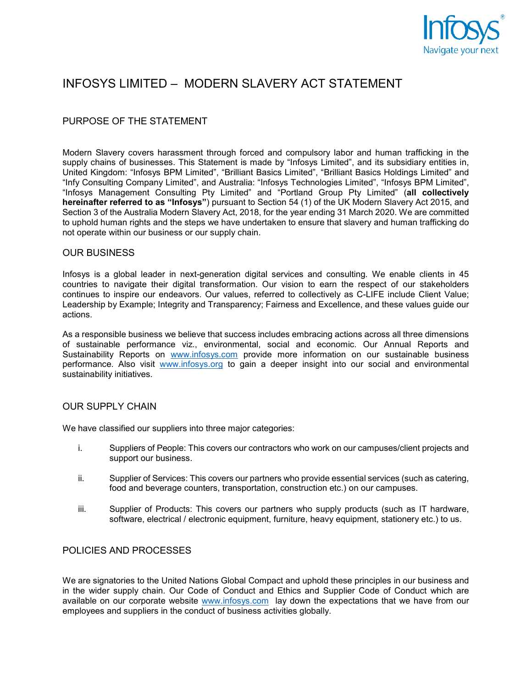

# INFOSYS LIMITED – MODERN SLAVERY ACT STATEMENT

## PURPOSE OF THE STATEMENT

Modern Slavery covers harassment through forced and compulsory labor and human trafficking in the supply chains of businesses. This Statement is made by "Infosys Limited", and its subsidiary entities in, United Kingdom: "Infosys BPM Limited", "Brilliant Basics Limited", "Brilliant Basics Holdings Limited" and "Infy Consulting Company Limited", and Australia: "Infosys Technologies Limited", "Infosys BPM Limited", "Infosys Management Consulting Pty Limited" and "Portland Group Pty Limited" (**all collectively hereinafter referred to as "Infosys"**) pursuant to Section 54 (1) of the UK Modern Slavery Act 2015, and Section 3 of the Australia Modern Slavery Act, 2018, for the year ending 31 March 2020. We are committed to uphold human rights and the steps we have undertaken to ensure that slavery and human trafficking do not operate within our business or our supply chain.

#### OUR BUSINESS

Infosys is a global leader in next-generation digital services and consulting. We enable clients in 45 countries to navigate their digital transformation. Our vision to earn the respect of our stakeholders continues to inspire our endeavors. Our values, referred to collectively as C-LIFE include Client Value; Leadership by Example; Integrity and Transparency; Fairness and Excellence, and these values guide our actions.

As a responsible business we believe that success includes embracing actions across all three dimensions of sustainable performance viz., environmental, social and economic. Our Annual Reports and Sustainability Reports on [www.infosys.com](http://www.infosys.com/) provide more information on our sustainable business performance. Also visit [www.infosys.org](http://www.infosys.org/) to gain a deeper insight into our social and environmental sustainability initiatives.

### OUR SUPPLY CHAIN

We have classified our suppliers into three major categories:

- i. Suppliers of People: This covers our contractors who work on our campuses/client projects and support our business.
- ii. Supplier of Services: This covers our partners who provide essential services (such as catering, food and beverage counters, transportation, construction etc.) on our campuses.
- iii. Supplier of Products: This covers our partners who supply products (such as IT hardware, software, electrical / electronic equipment, furniture, heavy equipment, stationery etc.) to us.

#### POLICIES AND PROCESSES

We are signatories to the United Nations Global Compact and uphold these principles in our business and in the wider supply chain. Our Code of Conduct and Ethics and Supplier Code of Conduct which are available on our corporate website [www.infosys.com](http://www.infosys.com/) lay down the expectations that we have from our employees and suppliers in the conduct of business activities globally.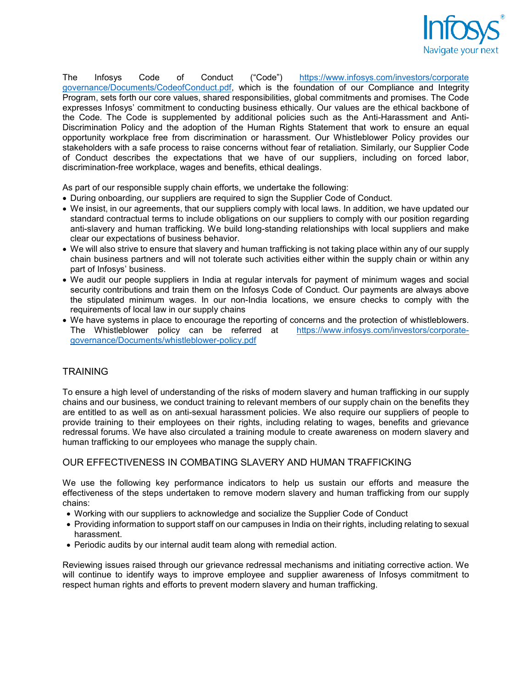

The Infosys Code of Conduct ("Code") [https://www.infosys.com/investors/corporate](https://www.infosys.com/investors/corporate%20governance/Documents/CodeofConduct.pdf) [governance/Documents/CodeofConduct.pdf,](https://www.infosys.com/investors/corporate%20governance/Documents/CodeofConduct.pdf) which is the foundation of our Compliance and Integrity Program, sets forth our core values, shared responsibilities, global commitments and promises. The Code expresses Infosys' commitment to conducting business ethically. Our values are the ethical backbone of the Code. The Code is supplemented by additional policies such as the Anti-Harassment and Anti-Discrimination Policy and the adoption of the Human Rights Statement that work to ensure an equal opportunity workplace free from discrimination or harassment. Our Whistleblower Policy provides our stakeholders with a safe process to raise concerns without fear of retaliation. Similarly, our Supplier Code of Conduct describes the expectations that we have of our suppliers, including on forced labor, discrimination-free workplace, wages and benefits, ethical dealings.

As part of our responsible supply chain efforts, we undertake the following:

- During onboarding, our suppliers are required to sign the Supplier Code of Conduct.
- We insist, in our agreements, that our suppliers comply with local laws. In addition, we have updated our standard contractual terms to include obligations on our suppliers to comply with our position regarding anti-slavery and human trafficking. We build long-standing relationships with local suppliers and make clear our expectations of business behavior.
- We will also strive to ensure that slavery and human trafficking is not taking place within any of our supply chain business partners and will not tolerate such activities either within the supply chain or within any part of Infosys' business.
- We audit our people suppliers in India at regular intervals for payment of minimum wages and social security contributions and train them on the Infosys Code of Conduct. Our payments are always above the stipulated minimum wages. In our non-India locations, we ensure checks to comply with the requirements of local law in our supply chains
- We have systems in place to encourage the reporting of concerns and the protection of whistleblowers. The Whistleblower policy can be referred at [https://www.infosys.com/investors/corporate](https://www.infosys.com/investors/corporate-governance/Documents/whistleblower-policy.pdf)[governance/Documents/whistleblower-policy.pdf](https://www.infosys.com/investors/corporate-governance/Documents/whistleblower-policy.pdf)

### **TRAINING**

To ensure a high level of understanding of the risks of modern slavery and human trafficking in our supply chains and our business, we conduct training to relevant members of our supply chain on the benefits they are entitled to as well as on anti-sexual harassment policies. We also require our suppliers of people to provide training to their employees on their rights, including relating to wages, benefits and grievance redressal forums. We have also circulated a training module to create awareness on modern slavery and human trafficking to our employees who manage the supply chain.

### OUR EFFECTIVENESS IN COMBATING SLAVERY AND HUMAN TRAFFICKING

We use the following key performance indicators to help us sustain our efforts and measure the effectiveness of the steps undertaken to remove modern slavery and human trafficking from our supply chains:

- Working with our suppliers to acknowledge and socialize the Supplier Code of Conduct
- Providing information to support staff on our campuses in India on their rights, including relating to sexual harassment.
- Periodic audits by our internal audit team along with remedial action.

Reviewing issues raised through our grievance redressal mechanisms and initiating corrective action. We will continue to identify ways to improve employee and supplier awareness of Infosys commitment to respect human rights and efforts to prevent modern slavery and human trafficking.